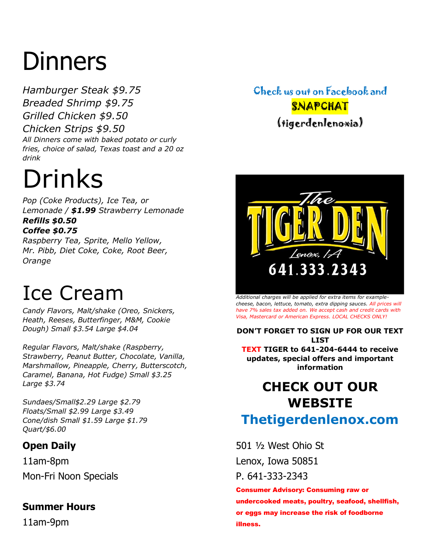# **Dinners**

*Hamburger Steak \$9.75 Breaded Shrimp \$9.75 Grilled Chicken \$9.50 Chicken Strips \$9.50 All Dinners come with baked potato or curly fries, choice of salad, Texas toast and a 20 oz drink*

## Drinks

*Pop (Coke Products), Ice Tea, or Lemonade / \$1.99 Strawberry Lemonade Refills \$0.50*

#### *Coffee \$0.75*

*Raspberry Tea, Sprite, Mello Yellow, Mr. Pibb, Diet Coke, Coke, Root Beer, Orange*

### Ice Cream

*Candy Flavors, Malt/shake (Oreo, Snickers, Heath, Reeses, Butterfinger, M&M, Cookie Dough) Small \$3.54 Large \$4.04*

*Regular Flavors, Malt/shake (Raspberry, Strawberry, Peanut Butter, Chocolate, Vanilla, Marshmallow, Pineapple, Cherry, Butterscotch, Caramel, Banana, Hot Fudge) Small \$3.25 Large \$3.74*

*Sundaes/Small\$2.29 Large \$2.79 Floats/Small \$2.99 Large \$3.49 Cone/dish Small \$1.59 Large \$1.79 Quart/\$6.00*

#### **Open Daily**

11am-8pm Mon-Fri Noon Specials

#### **Summer Hours**

11am-9pm

### Check us out on Facebook and **SNAPCHAT** (tigerdenlenoxia)



*Additional charges will be applied for extra items for examplecheese, bacon, lettuce, tomato, extra dipping sauces. All prices will have 7% sales tax added on. We accept cash and credit cards with Visa, Mastercard or American Express. LOCAL CHECKS ONLY!* 

**DON'T FORGET TO SIGN UP FOR OUR TEXT LIST TEXT TIGER to 641-204-6444 to receive updates, special offers and important information**

### **CHECK OUT OUR WEBSITE Thetigerdenlenox.com**

501 ½ West Ohio St Lenox, Iowa 50851

P. 641-333-2343

Consumer Advisory: Consuming raw or undercooked meats, poultry, seafood, shellfish, or eggs may increase the risk of foodborne illness.